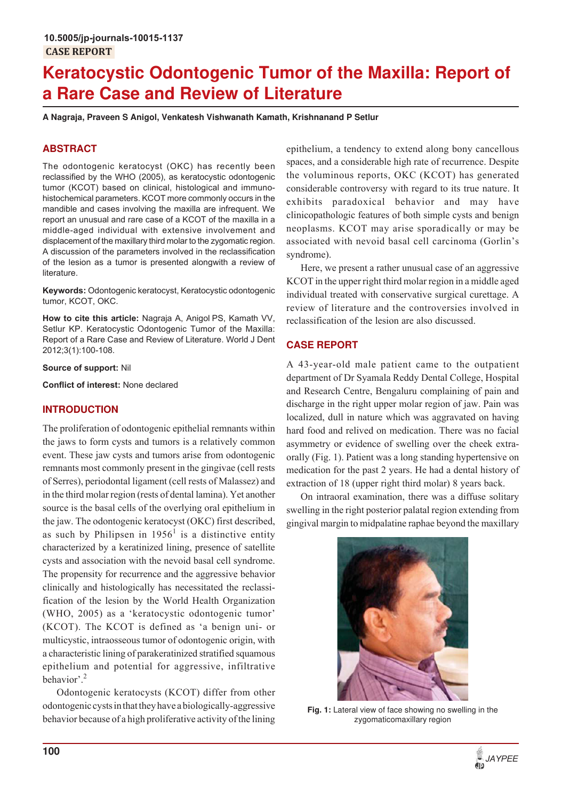# **Keratocystic Odontogenic Tumor of the Maxilla: Report of a Rare Case and Review of Literature**

**A Nagraja, Praveen S Anigol, Venkatesh Vishwanath Kamath, Krishnanand P Setlur**

# **ABSTRACT**

The odontogenic keratocyst (OKC) has recently been reclassified by the WHO (2005), as keratocystic odontogenic tumor (KCOT) based on clinical, histological and immunohistochemical parameters. KCOT more commonly occurs in the mandible and cases involving the maxilla are infrequent. We report an unusual and rare case of a KCOT of the maxilla in a middle-aged individual with extensive involvement and displacement of the maxillary third molar to the zygomatic region. A discussion of the parameters involved in the reclassification of the lesion as a tumor is presented alongwith a review of literature.

**Keywords:** Odontogenic keratocyst, Keratocystic odontogenic tumor, KCOT, OKC.

**How to cite this article:** Nagraja A, Anigol PS, Kamath VV, Setlur KP. Keratocystic Odontogenic Tumor of the Maxilla: Report of a Rare Case and Review of Literature. World J Dent 2012;3(1):100-108.

**Source of support:** Nil

**Conflict of interest:** None declared

#### **INTRODUCTION**

The proliferation of odontogenic epithelial remnants within the jaws to form cysts and tumors is a relatively common event. These jaw cysts and tumors arise from odontogenic remnants most commonly present in the gingivae (cell rests of Serres), periodontal ligament (cell rests of Malassez) and in the third molar region (rests of dental lamina). Yet another source is the basal cells of the overlying oral epithelium in the jaw. The odontogenic keratocyst (OKC) first described, as such by Philipsen in  $1956<sup>1</sup>$  is a distinctive entity characterized by a keratinized lining, presence of satellite cysts and association with the nevoid basal cell syndrome. The propensity for recurrence and the aggressive behavior clinically and histologically has necessitated the reclassification of the lesion by the World Health Organization (WHO, 2005) as a 'keratocystic odontogenic tumor' (KCOT). The KCOT is defined as 'a benign uni- or multicystic, intraosseous tumor of odontogenic origin, with a characteristic lining of parakeratinized stratified squamous epithelium and potential for aggressive, infiltrative behavior'.<sup>2</sup>

Odontogenic keratocysts (KCOT) differ from other odontogenic cysts in that they have a biologically-aggressive behavior because of a high proliferative activity of the lining epithelium, a tendency to extend along bony cancellous spaces, and a considerable high rate of recurrence. Despite the voluminous reports, OKC (KCOT) has generated considerable controversy with regard to its true nature. It exhibits paradoxical behavior and may have clinicopathologic features of both simple cysts and benign neoplasms. KCOT may arise sporadically or may be associated with nevoid basal cell carcinoma (Gorlin's syndrome).

Here, we present a rather unusual case of an aggressive KCOT in the upper right third molar region in a middle aged individual treated with conservative surgical curettage. A review of literature and the controversies involved in reclassification of the lesion are also discussed.

# **CASE REPORT**

A 43-year-old male patient came to the outpatient department of Dr Syamala Reddy Dental College, Hospital and Research Centre, Bengaluru complaining of pain and discharge in the right upper molar region of jaw. Pain was localized, dull in nature which was aggravated on having hard food and relived on medication. There was no facial asymmetry or evidence of swelling over the cheek extraorally (Fig. 1). Patient was a long standing hypertensive on medication for the past 2 years. He had a dental history of extraction of 18 (upper right third molar) 8 years back.

On intraoral examination, there was a diffuse solitary swelling in the right posterior palatal region extending from gingival margin to midpalatine raphae beyond the maxillary



**Fig. 1:** Lateral view of face showing no swelling in the zygomaticomaxillary region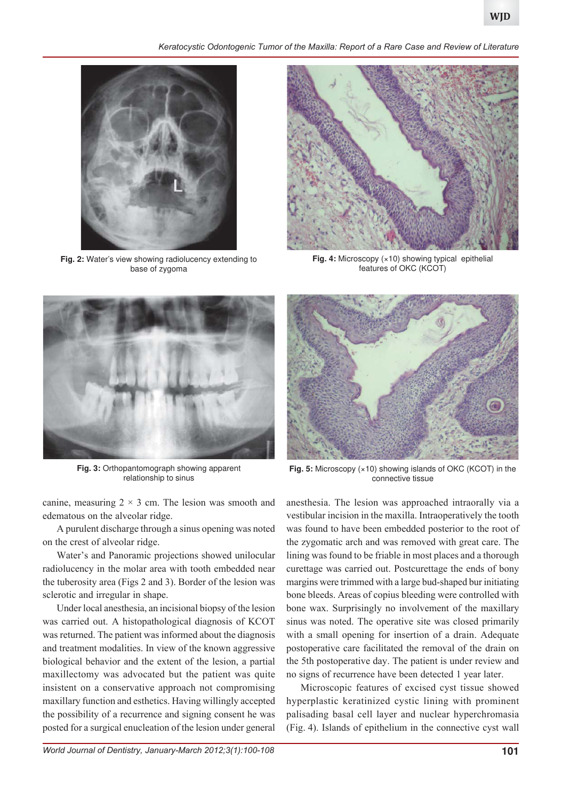*Keratocystic Odontogenic Tumor of the Maxilla: Report of a Rare Case and Review of Literature*



**Fig. 2:** Water's view showing radiolucency extending to base of zygoma



Fig. 4: Microscopy (×10) showing typical epithelial features of OKC (KCOT)



**Fig. 3:** Orthopantomograph showing apparent relationship to sinus

canine, measuring  $2 \times 3$  cm. The lesion was smooth and edematous on the alveolar ridge.

A purulent discharge through a sinus opening was noted on the crest of alveolar ridge.

Water's and Panoramic projections showed unilocular radiolucency in the molar area with tooth embedded near the tuberosity area (Figs 2 and 3). Border of the lesion was sclerotic and irregular in shape.

Under local anesthesia, an incisional biopsy of the lesion was carried out. A histopathological diagnosis of KCOT was returned. The patient was informed about the diagnosis and treatment modalities. In view of the known aggressive biological behavior and the extent of the lesion, a partial maxillectomy was advocated but the patient was quite insistent on a conservative approach not compromising maxillary function and esthetics. Having willingly accepted the possibility of a recurrence and signing consent he was posted for a surgical enucleation of the lesion under general



**Fig. 5:** Microscopy (×10) showing islands of OKC (KCOT) in the connective tissue

anesthesia. The lesion was approached intraorally via a vestibular incision in the maxilla. Intraoperatively the tooth was found to have been embedded posterior to the root of the zygomatic arch and was removed with great care. The lining was found to be friable in most places and a thorough curettage was carried out. Postcurettage the ends of bony margins were trimmed with a large bud-shaped bur initiating bone bleeds. Areas of copius bleeding were controlled with bone wax. Surprisingly no involvement of the maxillary sinus was noted. The operative site was closed primarily with a small opening for insertion of a drain. Adequate postoperative care facilitated the removal of the drain on the 5th postoperative day. The patient is under review and no signs of recurrence have been detected 1 year later.

Microscopic features of excised cyst tissue showed hyperplastic keratinized cystic lining with prominent palisading basal cell layer and nuclear hyperchromasia (Fig. 4). Islands of epithelium in the connective cyst wall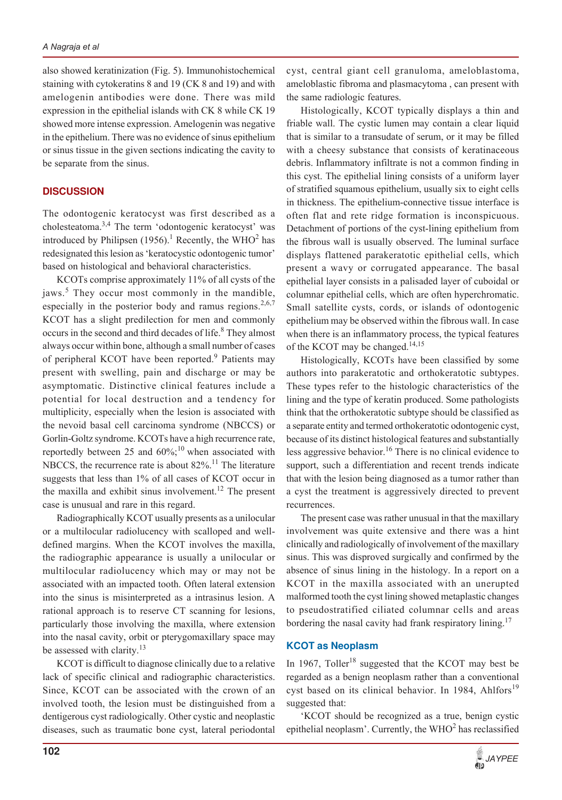also showed keratinization (Fig. 5). Immunohistochemical staining with cytokeratins 8 and 19 (CK 8 and 19) and with amelogenin antibodies were done. There was mild expression in the epithelial islands with CK 8 while CK 19 showed more intense expression. Amelogenin was negative in the epithelium. There was no evidence of sinus epithelium or sinus tissue in the given sections indicating the cavity to be separate from the sinus.

#### **DISCUSSION**

The odontogenic keratocyst was first described as a cholesteatoma.3,4 The term 'odontogenic keratocyst' was introduced by Philipsen  $(1956)$ .<sup>1</sup> Recently, the WHO<sup>2</sup> has redesignated this lesion as 'keratocystic odontogenic tumor' based on histological and behavioral characteristics.

KCOTs comprise approximately 11% of all cysts of the jaws.<sup>5</sup> They occur most commonly in the mandible, especially in the posterior body and ramus regions.<sup>2,6,7</sup> KCOT has a slight predilection for men and commonly occurs in the second and third decades of life.<sup>8</sup> They almost always occur within bone, although a small number of cases of peripheral KCOT have been reported.<sup>9</sup> Patients may present with swelling, pain and discharge or may be asymptomatic. Distinctive clinical features include a potential for local destruction and a tendency for multiplicity, especially when the lesion is associated with the nevoid basal cell carcinoma syndrome (NBCCS) or Gorlin-Goltz syndrome. KCOTs have a high recurrence rate, reportedly between 25 and  $60\%$ ;<sup>10</sup> when associated with NBCCS, the recurrence rate is about 82%.<sup>11</sup> The literature suggests that less than 1% of all cases of KCOT occur in the maxilla and exhibit sinus involvement.<sup>12</sup> The present case is unusual and rare in this regard.

Radiographically KCOT usually presents as a unilocular or a multilocular radiolucency with scalloped and welldefined margins. When the KCOT involves the maxilla, the radiographic appearance is usually a unilocular or multilocular radiolucency which may or may not be associated with an impacted tooth. Often lateral extension into the sinus is misinterpreted as a intrasinus lesion. A rational approach is to reserve CT scanning for lesions, particularly those involving the maxilla, where extension into the nasal cavity, orbit or pterygomaxillary space may be assessed with clarity.<sup>13</sup>

KCOT is difficult to diagnose clinically due to a relative lack of specific clinical and radiographic characteristics. Since, KCOT can be associated with the crown of an involved tooth, the lesion must be distinguished from a dentigerous cyst radiologically. Other cystic and neoplastic diseases, such as traumatic bone cyst, lateral periodontal cyst, central giant cell granuloma, ameloblastoma, ameloblastic fibroma and plasmacytoma , can present with the same radiologic features.

Histologically, KCOT typically displays a thin and friable wall. The cystic lumen may contain a clear liquid that is similar to a transudate of serum, or it may be filled with a cheesy substance that consists of keratinaceous debris. Inflammatory infiltrate is not a common finding in this cyst. The epithelial lining consists of a uniform layer of stratified squamous epithelium, usually six to eight cells in thickness. The epithelium-connective tissue interface is often flat and rete ridge formation is inconspicuous. Detachment of portions of the cyst-lining epithelium from the fibrous wall is usually observed. The luminal surface displays flattened parakeratotic epithelial cells, which present a wavy or corrugated appearance. The basal epithelial layer consists in a palisaded layer of cuboidal or columnar epithelial cells, which are often hyperchromatic. Small satellite cysts, cords, or islands of odontogenic epithelium may be observed within the fibrous wall. In case when there is an inflammatory process, the typical features of the KCOT may be changed.<sup>14,15</sup>

Histologically, KCOTs have been classified by some authors into parakeratotic and orthokeratotic subtypes. These types refer to the histologic characteristics of the lining and the type of keratin produced. Some pathologists think that the orthokeratotic subtype should be classified as a separate entity and termed orthokeratotic odontogenic cyst, because of its distinct histological features and substantially less aggressive behavior.<sup>16</sup> There is no clinical evidence to support, such a differentiation and recent trends indicate that with the lesion being diagnosed as a tumor rather than a cyst the treatment is aggressively directed to prevent recurrences.

The present case was rather unusual in that the maxillary involvement was quite extensive and there was a hint clinically and radiologically of involvement of the maxillary sinus. This was disproved surgically and confirmed by the absence of sinus lining in the histology. In a report on a KCOT in the maxilla associated with an unerupted malformed tooth the cyst lining showed metaplastic changes to pseudostratified ciliated columnar cells and areas bordering the nasal cavity had frank respiratory lining.<sup>17</sup>

#### **KCOT as Neoplasm**

In 1967, Toller<sup>18</sup> suggested that the KCOT may best be regarded as a benign neoplasm rather than a conventional cyst based on its clinical behavior. In 1984, Ahlfors<sup>19</sup> suggested that:

'KCOT should be recognized as a true, benign cystic epithelial neoplasm'. Currently, the  $WHO<sup>2</sup>$  has reclassified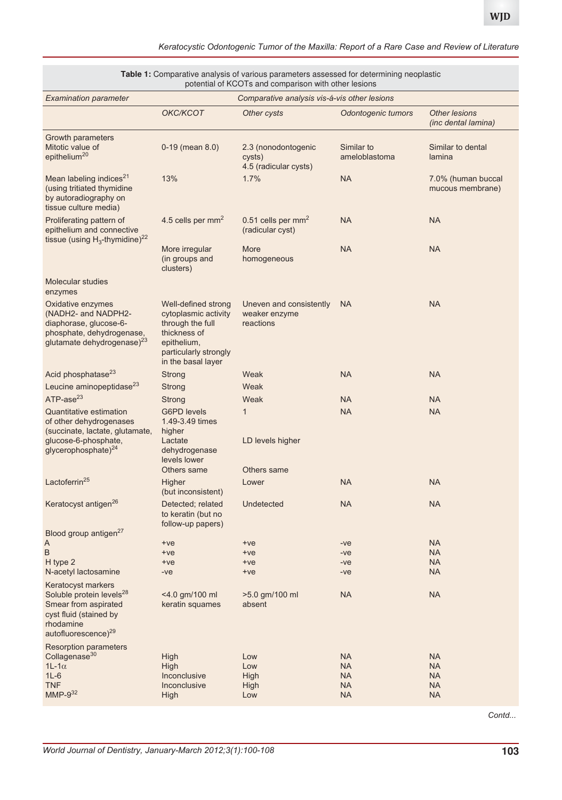| potential of KCOTs and comparison with other lesions                                                                                                         |                                                                                                                                               |                                                        |                             |                                                    |  |  |
|--------------------------------------------------------------------------------------------------------------------------------------------------------------|-----------------------------------------------------------------------------------------------------------------------------------------------|--------------------------------------------------------|-----------------------------|----------------------------------------------------|--|--|
| <b>Examination parameter</b><br>Comparative analysis vis-á-vis other lesions                                                                                 |                                                                                                                                               |                                                        |                             |                                                    |  |  |
|                                                                                                                                                              | OKC/KCOT                                                                                                                                      | Other cysts                                            | Odontogenic tumors          | <b>Other lesions</b><br><i>(inc dental lamina)</i> |  |  |
| Growth parameters<br>Mitotic value of<br>epithelium <sup>20</sup>                                                                                            | $0-19$ (mean $8.0$ )                                                                                                                          | 2.3 (nonodontogenic<br>cysts)<br>4.5 (radicular cysts) | Similar to<br>ameloblastoma | Similar to dental<br>lamina                        |  |  |
| Mean labeling indices <sup>21</sup><br>(using tritiated thymidine<br>by autoradiography on<br>tissue culture media)                                          | 13%                                                                                                                                           | 1.7%                                                   | <b>NA</b>                   | 7.0% (human buccal<br>mucous membrane)             |  |  |
| Proliferating pattern of<br>epithelium and connective<br>tissue (using $H_3$ -thymidine) <sup>22</sup>                                                       | 4.5 cells per mm <sup>2</sup>                                                                                                                 | 0.51 cells per $mm2$<br>(radicular cyst)               | <b>NA</b>                   | <b>NA</b>                                          |  |  |
|                                                                                                                                                              | More irregular<br>(in groups and<br>clusters)                                                                                                 | More<br>homogeneous                                    | <b>NA</b>                   | <b>NA</b>                                          |  |  |
| Molecular studies<br>enzymes                                                                                                                                 |                                                                                                                                               |                                                        |                             |                                                    |  |  |
| Oxidative enzymes<br>(NADH2- and NADPH2-<br>diaphorase, glucose-6-<br>phosphate, dehydrogenase,<br>glutamate dehydrogenase) <sup>23</sup>                    | Well-defined strong<br>cytoplasmic activity<br>through the full<br>thickness of<br>epithelium,<br>particularly strongly<br>in the basal layer | Uneven and consistently<br>weaker enzyme<br>reactions  | <b>NA</b>                   | <b>NA</b>                                          |  |  |
| Acid phosphatase <sup>23</sup>                                                                                                                               | <b>Strong</b>                                                                                                                                 | Weak                                                   | <b>NA</b>                   | <b>NA</b>                                          |  |  |
| Leucine aminopeptidase <sup>23</sup>                                                                                                                         | Strong                                                                                                                                        | Weak                                                   |                             |                                                    |  |  |
| $ATP-ase23$                                                                                                                                                  | Strong                                                                                                                                        | Weak                                                   | <b>NA</b>                   | <b>NA</b>                                          |  |  |
| Quantitative estimation<br>of other dehydrogenases<br>(succinate, lactate, glutamate,<br>glucose-6-phosphate,<br>glycerophosphate) <sup>24</sup>             | <b>G6PD levels</b><br>1.49-3.49 times<br>higher<br>Lactate<br>dehydrogenase<br>levels lower<br>Others same                                    | $\mathbf{1}$<br>LD levels higher<br>Others same        | <b>NA</b>                   | <b>NA</b>                                          |  |  |
| Lactoferrin <sup>25</sup>                                                                                                                                    | Higher<br>(but inconsistent)                                                                                                                  | Lower                                                  | <b>NA</b>                   | <b>NA</b>                                          |  |  |
| Keratocyst antigen <sup>26</sup>                                                                                                                             | Detected; related<br>to keratin (but no<br>follow-up papers)                                                                                  | Undetected                                             | <b>NA</b>                   | <b>NA</b>                                          |  |  |
| Blood group antigen <sup>27</sup>                                                                                                                            |                                                                                                                                               |                                                        |                             |                                                    |  |  |
| A<br>$\sf B$                                                                                                                                                 | $+ve$<br>$+ve$                                                                                                                                | $+ve$<br>$+ve$                                         | $-ve$<br>$-ve$              | <b>NA</b><br><b>NA</b>                             |  |  |
| H type 2                                                                                                                                                     | $+ve$                                                                                                                                         | $+ve$                                                  | $-ve$                       | <b>NA</b>                                          |  |  |
| N-acetyl lactosamine                                                                                                                                         | -ve                                                                                                                                           | $+ve$                                                  | -ve                         | <b>NA</b>                                          |  |  |
| Keratocyst markers<br>Soluble protein levels <sup>28</sup><br>Smear from aspirated<br>cyst fluid (stained by<br>rhodamine<br>autofluorescence) <sup>29</sup> | <4.0 gm/100 ml<br>keratin squames                                                                                                             | >5.0 gm/100 ml<br>absent                               | <b>NA</b>                   | <b>NA</b>                                          |  |  |
| <b>Resorption parameters</b>                                                                                                                                 |                                                                                                                                               |                                                        |                             |                                                    |  |  |
| Collagenase <sup>30</sup>                                                                                                                                    | High                                                                                                                                          | Low                                                    | <b>NA</b>                   | <b>NA</b>                                          |  |  |
| $1L-1\alpha$<br>$1L-6$                                                                                                                                       | High<br>Inconclusive                                                                                                                          | Low<br>High                                            | <b>NA</b><br><b>NA</b>      | <b>NA</b><br><b>NA</b>                             |  |  |
| <b>TNF</b>                                                                                                                                                   | Inconclusive                                                                                                                                  | High                                                   | <b>NA</b>                   | <b>NA</b>                                          |  |  |
| $MMP-9^{32}$                                                                                                                                                 | High                                                                                                                                          | Low                                                    | <b>NA</b>                   | NA.                                                |  |  |

**Table 1:** Comparative analysis of various parameters assessed for determining neoplastic

*Contd...*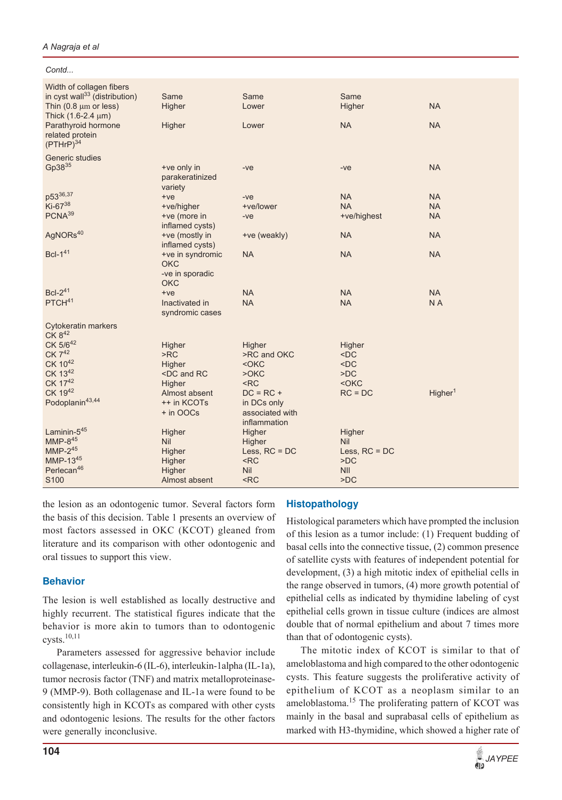**104**

*Contd...*

| Width of collagen fibers                  |                                                                                    |                 |                 |                     |
|-------------------------------------------|------------------------------------------------------------------------------------|-----------------|-----------------|---------------------|
| in cyst wall <sup>33</sup> (distribution) | Same                                                                               | Same            | Same            |                     |
| Thin $(0.8 \mu m)$ or less)               | Higher                                                                             | Lower           | Higher          | <b>NA</b>           |
| Thick (1.6-2.4 µm)                        |                                                                                    |                 |                 |                     |
| Parathyroid hormone                       | Higher                                                                             | Lower           | <b>NA</b>       | <b>NA</b>           |
| related protein                           |                                                                                    |                 |                 |                     |
| (PTHrP) <sup>34</sup>                     |                                                                                    |                 |                 |                     |
| <b>Generic studies</b>                    |                                                                                    |                 |                 |                     |
| Gp38 <sup>35</sup>                        | +ve only in                                                                        | $-ve$           | $-ve$           | <b>NA</b>           |
|                                           | parakeratinized                                                                    |                 |                 |                     |
|                                           | variety                                                                            |                 |                 |                     |
| p53 <sup>36,37</sup>                      | $+ve$                                                                              | $-ve$           | <b>NA</b>       | <b>NA</b>           |
| Ki-6738                                   | +ve/higher                                                                         | +ve/lower       | <b>NA</b>       | <b>NA</b>           |
| PCNA <sup>39</sup>                        | +ve (more in                                                                       | -ve             | +ve/highest     | <b>NA</b>           |
|                                           | inflamed cysts)                                                                    |                 |                 |                     |
| AgNORs <sup>40</sup>                      | +ve (mostly in                                                                     | +ve (weakly)    | <b>NA</b>       | <b>NA</b>           |
|                                           | inflamed cysts)                                                                    |                 |                 |                     |
| <b>Bcl-141</b>                            | +ve in syndromic                                                                   | <b>NA</b>       | <b>NA</b>       | <b>NA</b>           |
|                                           | <b>OKC</b>                                                                         |                 |                 |                     |
|                                           | -ve in sporadic                                                                    |                 |                 |                     |
|                                           | <b>OKC</b>                                                                         |                 |                 |                     |
| <b>Bcl-2<sup>41</sup></b>                 | $+ve$                                                                              | <b>NA</b>       | <b>NA</b>       | <b>NA</b>           |
| PTCH <sup>41</sup>                        | Inactivated in                                                                     | <b>NA</b>       | <b>NA</b>       | N A                 |
|                                           | syndromic cases                                                                    |                 |                 |                     |
| <b>Cytokeratin markers</b>                |                                                                                    |                 |                 |                     |
| CK 842                                    |                                                                                    |                 |                 |                     |
| CK 5/642                                  | Higher                                                                             | Higher          | Higher          |                     |
| CK 742                                    | > RC                                                                               | >RC and OKC     | $<$ DC          |                     |
| CK 1042                                   | Higher                                                                             | $<$ OKC         | $<$ DC          |                     |
| CK 1342                                   | <dc and="" rc<="" td=""><td><math>&gt;</math>OKC</td><td>&gt;DC</td><td></td></dc> | $>$ OKC         | >DC             |                     |
| CK 1742                                   | Higher                                                                             | $<$ RC          | $<$ OKC         |                     |
| CK 1942                                   | Almost absent                                                                      | $DC = RC +$     | $RC = DC$       | Higher <sup>1</sup> |
| Podoplanin43,44                           | ++ in KCOTs                                                                        | in DCs only     |                 |                     |
|                                           | + in OOCs                                                                          | associated with |                 |                     |
|                                           |                                                                                    | inflammation    |                 |                     |
| Laminin-545                               | Higher                                                                             | Higher          | Higher          |                     |
| $MMP-845$                                 | Nil                                                                                | Higher          | <b>Nil</b>      |                     |
| $MMP-245$                                 | Higher                                                                             | Less, $RC = DC$ | Less, $RC = DC$ |                     |
| MMP-1345                                  | Higher                                                                             | $<$ RC          | $\overline{DC}$ |                     |
| Perlecan <sup>46</sup>                    | Higher                                                                             | <b>Nil</b>      | <b>NII</b>      |                     |
| S100                                      | Almost absent                                                                      | $<$ RC          | $\overline{DC}$ |                     |

the lesion as an odontogenic tumor. Several factors form the basis of this decision. Table 1 presents an overview of most factors assessed in OKC (KCOT) gleaned from literature and its comparison with other odontogenic and oral tissues to support this view.

# **Behavior**

The lesion is well established as locally destructive and highly recurrent. The statistical figures indicate that the behavior is more akin to tumors than to odontogenic cysts.10,11

Parameters assessed for aggressive behavior include collagenase, interleukin-6 (IL-6), interleukin-1alpha (IL-1a), tumor necrosis factor (TNF) and matrix metalloproteinase-9 (MMP-9). Both collagenase and IL-1a were found to be consistently high in KCOTs as compared with other cysts and odontogenic lesions. The results for the other factors were generally inconclusive.

# **Histopathology**

Histological parameters which have prompted the inclusion of this lesion as a tumor include: (1) Frequent budding of basal cells into the connective tissue, (2) common presence of satellite cysts with features of independent potential for development, (3) a high mitotic index of epithelial cells in the range observed in tumors, (4) more growth potential of epithelial cells as indicated by thymidine labeling of cyst epithelial cells grown in tissue culture (indices are almost double that of normal epithelium and about 7 times more than that of odontogenic cysts).

The mitotic index of KCOT is similar to that of ameloblastoma and high compared to the other odontogenic cysts. This feature suggests the proliferative activity of epithelium of KCOT as a neoplasm similar to an ameloblastoma.<sup>15</sup> The proliferating pattern of KCOT was mainly in the basal and suprabasal cells of epithelium as marked with H3-thymidine, which showed a higher rate of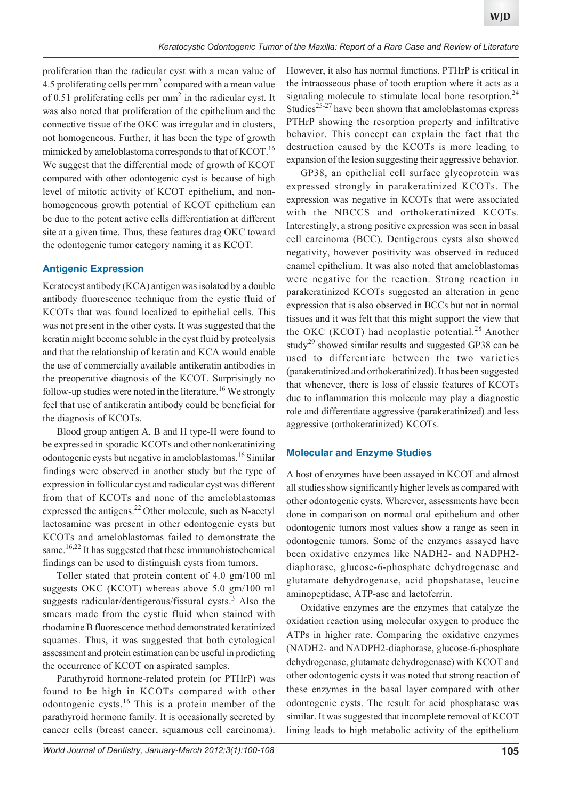proliferation than the radicular cyst with a mean value of 4.5 proliferating cells per  $mm<sup>2</sup>$  compared with a mean value of 0.51 proliferating cells per  $mm<sup>2</sup>$  in the radicular cyst. It was also noted that proliferation of the epithelium and the connective tissue of the OKC was irregular and in clusters, not homogeneous. Further, it has been the type of growth mimicked by ameloblastoma corresponds to that of KCOT.<sup>16</sup> We suggest that the differential mode of growth of KCOT compared with other odontogenic cyst is because of high level of mitotic activity of KCOT epithelium, and nonhomogeneous growth potential of KCOT epithelium can be due to the potent active cells differentiation at different site at a given time. Thus, these features drag OKC toward the odontogenic tumor category naming it as KCOT.

# **Antigenic Expression**

Keratocyst antibody (KCA) antigen was isolated by a double antibody fluorescence technique from the cystic fluid of KCOTs that was found localized to epithelial cells. This was not present in the other cysts. It was suggested that the keratin might become soluble in the cyst fluid by proteolysis and that the relationship of keratin and KCA would enable the use of commercially available antikeratin antibodies in the preoperative diagnosis of the KCOT. Surprisingly no follow-up studies were noted in the literature.<sup>16</sup> We strongly feel that use of antikeratin antibody could be beneficial for the diagnosis of KCOTs.

Blood group antigen A, B and H type-II were found to be expressed in sporadic KCOTs and other nonkeratinizing odontogenic cysts but negative in ameloblastomas.16 Similar findings were observed in another study but the type of expression in follicular cyst and radicular cyst was different from that of KCOTs and none of the ameloblastomas expressed the antigens.<sup>22</sup> Other molecule, such as N-acetyl lactosamine was present in other odontogenic cysts but KCOTs and ameloblastomas failed to demonstrate the same.<sup>16,22</sup> It has suggested that these immunohistochemical findings can be used to distinguish cysts from tumors.

Toller stated that protein content of 4.0 gm/100 ml suggests OKC (KCOT) whereas above 5.0 gm/100 ml suggests radicular/dentigerous/fissural cysts.<sup>3</sup> Also the smears made from the cystic fluid when stained with rhodamine B fluorescence method demonstrated keratinized squames. Thus, it was suggested that both cytological assessment and protein estimation can be useful in predicting the occurrence of KCOT on aspirated samples.

Parathyroid hormone-related protein (or PTHrP) was found to be high in KCOTs compared with other odontogenic cysts.16 This is a protein member of the parathyroid hormone family. It is occasionally secreted by cancer cells (breast cancer, squamous cell carcinoma). However, it also has normal functions. PTHrP is critical in the intraosseous phase of tooth eruption where it acts as a signaling molecule to stimulate local bone resorption.<sup>24</sup> Studies<sup>25-27</sup> have been shown that ameloblastomas express PTHrP showing the resorption property and infiltrative behavior. This concept can explain the fact that the destruction caused by the KCOTs is more leading to expansion of the lesion suggesting their aggressive behavior.

GP38, an epithelial cell surface glycoprotein was expressed strongly in parakeratinized KCOTs. The expression was negative in KCOTs that were associated with the NBCCS and orthokeratinized KCOTs. Interestingly, a strong positive expression was seen in basal cell carcinoma (BCC). Dentigerous cysts also showed negativity, however positivity was observed in reduced enamel epithelium. It was also noted that ameloblastomas were negative for the reaction. Strong reaction in parakeratinized KCOTs suggested an alteration in gene expression that is also observed in BCCs but not in normal tissues and it was felt that this might support the view that the OKC (KCOT) had neoplastic potential.<sup>28</sup> Another study<sup>29</sup> showed similar results and suggested GP38 can be used to differentiate between the two varieties (parakeratinized and orthokeratinized). It has been suggested that whenever, there is loss of classic features of KCOTs due to inflammation this molecule may play a diagnostic role and differentiate aggressive (parakeratinized) and less aggressive (orthokeratinized) KCOTs.

# **Molecular and Enzyme Studies**

A host of enzymes have been assayed in KCOT and almost all studies show significantly higher levels as compared with other odontogenic cysts. Wherever, assessments have been done in comparison on normal oral epithelium and other odontogenic tumors most values show a range as seen in odontogenic tumors. Some of the enzymes assayed have been oxidative enzymes like NADH2- and NADPH2 diaphorase, glucose-6-phosphate dehydrogenase and glutamate dehydrogenase, acid phopshatase, leucine aminopeptidase, ATP-ase and lactoferrin.

Oxidative enzymes are the enzymes that catalyze the oxidation reaction using molecular oxygen to produce the ATPs in higher rate. Comparing the oxidative enzymes (NADH2- and NADPH2-diaphorase, glucose-6-phosphate dehydrogenase, glutamate dehydrogenase) with KCOT and other odontogenic cysts it was noted that strong reaction of these enzymes in the basal layer compared with other odontogenic cysts. The result for acid phosphatase was similar. It was suggested that incomplete removal of KCOT lining leads to high metabolic activity of the epithelium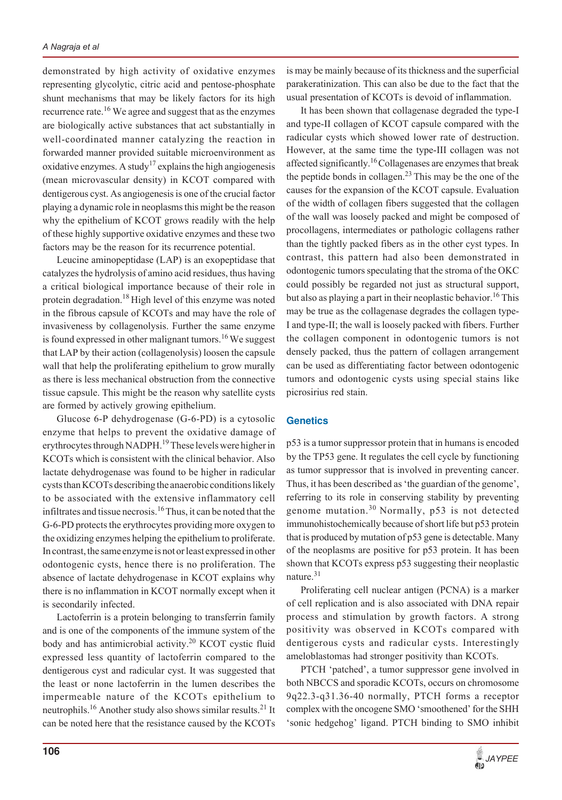demonstrated by high activity of oxidative enzymes representing glycolytic, citric acid and pentose-phosphate shunt mechanisms that may be likely factors for its high recurrence rate.<sup>16</sup> We agree and suggest that as the enzymes are biologically active substances that act substantially in well-coordinated manner catalyzing the reaction in forwarded manner provided suitable microenvironment as oxidative enzymes. A study<sup>17</sup> explains the high angiogenesis (mean microvascular density) in KCOT compared with dentigerous cyst. As angiogenesis is one of the crucial factor playing a dynamic role in neoplasms this might be the reason why the epithelium of KCOT grows readily with the help of these highly supportive oxidative enzymes and these two factors may be the reason for its recurrence potential.

Leucine aminopeptidase (LAP) is an exopeptidase that catalyzes the hydrolysis of amino acid residues, thus having a critical biological importance because of their role in protein degradation.18 High level of this enzyme was noted in the fibrous capsule of KCOTs and may have the role of invasiveness by collagenolysis. Further the same enzyme is found expressed in other malignant tumors.<sup>16</sup> We suggest that LAP by their action (collagenolysis) loosen the capsule wall that help the proliferating epithelium to grow murally as there is less mechanical obstruction from the connective tissue capsule. This might be the reason why satellite cysts are formed by actively growing epithelium.

Glucose 6-P dehydrogenase (G-6-PD) is a cytosolic enzyme that helps to prevent the oxidative damage of erythrocytes through NADPH.19 These levels were higher in KCOTs which is consistent with the clinical behavior. Also lactate dehydrogenase was found to be higher in radicular cysts than KCOTs describing the anaerobic conditions likely to be associated with the extensive inflammatory cell infiltrates and tissue necrosis.16 Thus, it can be noted that the G-6-PD protects the erythrocytes providing more oxygen to the oxidizing enzymes helping the epithelium to proliferate. In contrast, the same enzyme is not or least expressed in other odontogenic cysts, hence there is no proliferation. The absence of lactate dehydrogenase in KCOT explains why there is no inflammation in KCOT normally except when it is secondarily infected.

Lactoferrin is a protein belonging to transferrin family and is one of the components of the immune system of the body and has antimicrobial activity.<sup>20</sup> KCOT cystic fluid expressed less quantity of lactoferrin compared to the dentigerous cyst and radicular cyst. It was suggested that the least or none lactoferrin in the lumen describes the impermeable nature of the KCOTs epithelium to neutrophils.16 Another study also shows similar results.21 It can be noted here that the resistance caused by the KCOTs

is may be mainly because of its thickness and the superficial parakeratinization. This can also be due to the fact that the usual presentation of KCOTs is devoid of inflammation.

It has been shown that collagenase degraded the type-I and type-II collagen of KCOT capsule compared with the radicular cysts which showed lower rate of destruction. However, at the same time the type-III collagen was not affected significantly.<sup>16</sup> Collagenases are enzymes that break the peptide bonds in collagen.<sup>23</sup> This may be the one of the causes for the expansion of the KCOT capsule. Evaluation of the width of collagen fibers suggested that the collagen of the wall was loosely packed and might be composed of procollagens, intermediates or pathologic collagens rather than the tightly packed fibers as in the other cyst types. In contrast, this pattern had also been demonstrated in odontogenic tumors speculating that the stroma of the OKC could possibly be regarded not just as structural support, but also as playing a part in their neoplastic behavior.<sup>16</sup> This may be true as the collagenase degrades the collagen type-I and type-II; the wall is loosely packed with fibers. Further the collagen component in odontogenic tumors is not densely packed, thus the pattern of collagen arrangement can be used as differentiating factor between odontogenic tumors and odontogenic cysts using special stains like picrosirius red stain.

#### **Genetics**

p53 is a tumor suppressor protein that in humans is encoded by the TP53 gene. It regulates the cell cycle by functioning as tumor suppressor that is involved in preventing cancer. Thus, it has been described as 'the guardian of the genome', referring to its role in conserving stability by preventing genome mutation.<sup>30</sup> Normally,  $p53$  is not detected immunohistochemically because of short life but p53 protein that is produced by mutation of p53 gene is detectable. Many of the neoplasms are positive for p53 protein. It has been shown that KCOTs express p53 suggesting their neoplastic nature.<sup>31</sup>

Proliferating cell nuclear antigen (PCNA) is a marker of cell replication and is also associated with DNA repair process and stimulation by growth factors. A strong positivity was observed in KCOTs compared with dentigerous cysts and radicular cysts. Interestingly ameloblastomas had stronger positivity than KCOTs.

PTCH 'patched', a tumor suppressor gene involved in both NBCCS and sporadic KCOTs, occurs on chromosome 9q22.3-q31.36-40 normally, PTCH forms a receptor complex with the oncogene SMO 'smoothened' for the SHH 'sonic hedgehog' ligand. PTCH binding to SMO inhibit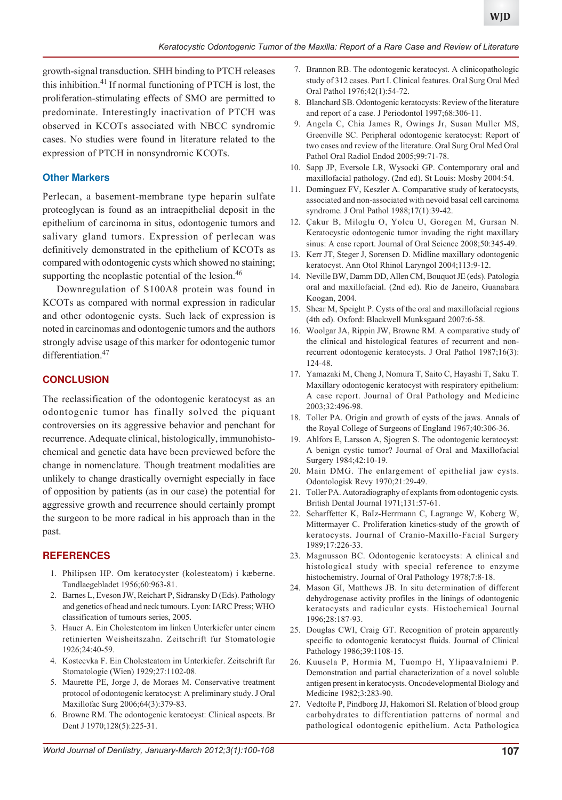growth-signal transduction. SHH binding to PTCH releases this inhibition.<sup>41</sup> If normal functioning of PTCH is lost, the proliferation-stimulating effects of SMO are permitted to predominate. Interestingly inactivation of PTCH was observed in KCOTs associated with NBCC syndromic cases. No studies were found in literature related to the expression of PTCH in nonsyndromic KCOTs.

#### **Other Markers**

Perlecan, a basement-membrane type heparin sulfate proteoglycan is found as an intraepithelial deposit in the epithelium of carcinoma in situs, odontogenic tumors and salivary gland tumors. Expression of perlecan was definitively demonstrated in the epithelium of KCOTs as compared with odontogenic cysts which showed no staining; supporting the neoplastic potential of the lesion. $46$ 

Downregulation of S100A8 protein was found in KCOTs as compared with normal expression in radicular and other odontogenic cysts. Such lack of expression is noted in carcinomas and odontogenic tumors and the authors strongly advise usage of this marker for odontogenic tumor differentiation.<sup>47</sup>

#### **CONCLUSION**

The reclassification of the odontogenic keratocyst as an odontogenic tumor has finally solved the piquant controversies on its aggressive behavior and penchant for recurrence. Adequate clinical, histologically, immunohistochemical and genetic data have been previewed before the change in nomenclature. Though treatment modalities are unlikely to change drastically overnight especially in face of opposition by patients (as in our case) the potential for aggressive growth and recurrence should certainly prompt the surgeon to be more radical in his approach than in the past.

#### **REFERENCES**

- 1. Philipsen HP. Om keratocyster (kolesteatom) i kæberne. Tandlaegebladet 1956;60:963-81.
- 2. Barnes L, Eveson JW, Reichart P, Sidransky D (Eds). Pathology and genetics of head and neck tumours. Lyon: IARC Press; WHO classification of tumours series, 2005.
- 3. Hauer A. Ein Cholesteatom im linken Unterkiefer unter einem retinierten Weisheitszahn. Zeitschrift fur Stomatologie 1926;24:40-59.
- 4. Kostecvka F. Ein Cholesteatom im Unterkiefer. Zeitschrift fur Stomatologie (Wien) 1929;27:1102-08.
- 5. Maurette PE, Jorge J, de Moraes M. Conservative treatment protocol of odontogenic keratocyst: A preliminary study. J Oral Maxillofac Surg 2006;64(3):379-83.
- 6. Browne RM. The odontogenic keratocyst: Clinical aspects. Br Dent J 1970;128(5):225-31.
- 7. Brannon RB. The odontogenic keratocyst. A clinicopathologic study of 312 cases. Part I. Clinical features. Oral Surg Oral Med Oral Pathol 1976;42(1):54-72.
- 8. Blanchard SB. Odontogenic keratocysts: Review of the literature and report of a case. J Periodontol 1997;68:306-11.
- 9. Angela C, Chia James R, Owings Jr, Susan Muller MS, Greenville SC. Peripheral odontogenic keratocyst: Report of two cases and review of the literature. Oral Surg Oral Med Oral Pathol Oral Radiol Endod 2005;99:71-78.
- 10. Sapp JP, Eversole LR, Wysocki GP. Contemporary oral and maxillofacial pathology. (2nd ed). St Louis: Mosby 2004:54.
- 11. Dominguez FV, Keszler A. Comparative study of keratocysts, associated and non-associated with nevoid basal cell carcinoma syndrome. J Oral Pathol 1988;17(1):39-42.
- 12. Çakur B, Miloglu O, Yolcu U, Goregen M, Gursan N. Keratocystic odontogenic tumor invading the right maxillary sinus: A case report. Journal of Oral Science 2008;50:345-49.
- 13. Kerr JT, Steger J, Sorensen D. Midline maxillary odontogenic keratocyst. Ann Otol Rhinol Laryngol 2004;113:9-12.
- 14. Neville BW, Damm DD, Allen CM, Bouquot JE (eds). Patologia oral and maxillofacial. (2nd ed). Rio de Janeiro, Guanabara Koogan, 2004.
- 15. Shear M, Speight P. Cysts of the oral and maxillofacial regions (4th ed). Oxford: Blackwell Munksgaard 2007:6-58.
- 16. Woolgar JA, Rippin JW, Browne RM. A comparative study of the clinical and histological features of recurrent and nonrecurrent odontogenic keratocysts. J Oral Pathol 1987;16(3): 124-48.
- 17. Yamazaki M, Cheng J, Nomura T, Saito C, Hayashi T, Saku T. Maxillary odontogenic keratocyst with respiratory epithelium: A case report. Journal of Oral Pathology and Medicine 2003;32:496-98.
- 18. Toller PA. Origin and growth of cysts of the jaws. Annals of the Royal College of Surgeons of England 1967;40:306-36.
- 19. Ahlfors E, Larsson A, Sjogren S. The odontogenic keratocyst: A benign cystic tumor? Journal of Oral and Maxillofacial Surgery 1984;42:10-19.
- 20. Main DMG. The enlargement of epithelial jaw cysts. Odontologisk Revy 1970;21:29-49.
- 21. Toller PA. Autoradiography of explants from odontogenic cysts. British Dental Journal 1971;131:57-61.
- 22. Scharffetter K, BaIz-Herrmann C, Lagrange W, Koberg W, Mittermayer C. Proliferation kinetics-study of the growth of keratocysts. Journal of Cranio-Maxillo-Facial Surgery 1989;17:226-33.
- 23. Magnusson BC. Odontogenic keratocysts: A clinical and histological study with special reference to enzyme histochemistry. Journal of Oral Pathology 1978;7:8-18.
- 24. Mason GI, Matthews JB. In situ determination of different dehydrogenase activity profiles in the linings of odontogenic keratocysts and radicular cysts. Histochemical Journal 1996;28:187-93.
- 25. Douglas CWI, Craig GT. Recognition of protein apparently specific to odontogenic keratocyst fluids. Journal of Clinical Pathology 1986;39:1108-15.
- 26. Kuusela P, Hormia M, Tuompo H, Ylipaavalniemi P. Demonstration and partial characterization of a novel soluble antigen present in keratocysts. Oncodevelopmental Biology and Medicine 1982;3:283-90.
- 27. Vedtofte P, Pindborg JJ, Hakomori SI. Relation of blood group carbohydrates to differentiation patterns of normal and pathological odontogenic epithelium. Acta Pathologica